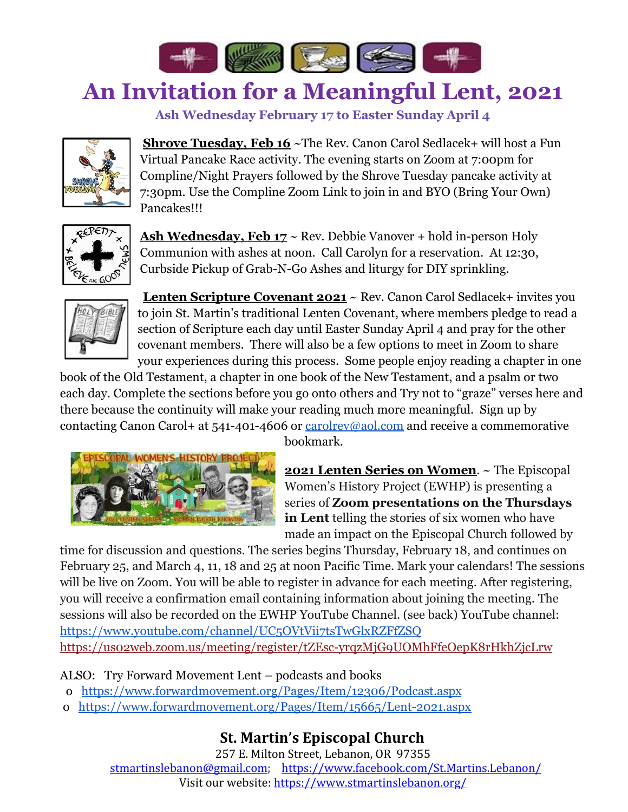

## **An Invitation for a Meaningful Lent, 2021**

**Ash Wednesday February 17 to Easter Sunday April 4**



**Shrove Tuesday, Feb 16** ~The Rev. Canon Carol Sedlacek+ will host a Fun Virtual Pancake Race activity. The evening starts on Zoom at 7:00pm for Compline/Night Prayers followed by the Shrove Tuesday pancake activity at 7:30pm. Use the Compline Zoom Link to join in and BYO (Bring Your Own) Pancakes!!!



Ash Wednesday, Feb 17 ~ Rev. Debbie Vanover + hold in-person Holy Communion with ashes at noon. Call Carolyn for a reservation. At 12:30, Curbside Pickup of Grab-N-Go Ashes and liturgy for DIY sprinkling.



**Lenten Scripture Covenant 2021** ~ Rev. Canon Carol Sedlacek+ invites you to join St. Martin's traditional Lenten Covenant, where members pledge to read a section of Scripture each day until Easter Sunday April 4 and pray for the other covenant members. There will also be a few options to meet in Zoom to share your experiences during this process. Some people enjoy reading a chapter in one

book of the Old Testament, a chapter in one book of the New Testament, and a psalm or two each day. Complete the sections before you go onto others and Try not to "graze" verses here and there because the continuity will make your reading much more meaningful. Sign up by contacting Canon Carol+ at  $541-401-4606$  or  $\frac{carolver@aol.com}{car}$  and receive a commemorative



bookmark.

**2021 Lenten Series on Women**. ~ The Episcopal Women's History Project (EWHP) is presenting a series of **Zoom presentations on the Thursdays in Lent** telling the stories of six women who have made an impact on the Episcopal Church followed by

time for discussion and questions. The series begins Thursday, February 18, and continues on February 25, and March 4, 11, 18 and 25 at noon Pacific Time. Mark your calendars! The sessions will be live on Zoom. You will be able to register in advance for each meeting. After registering, you will receive a confirmation email containing information about joining the meeting. The sessions will also be recorded on the EWHP YouTube Channel. (see back) YouTube channel: <https://www.youtube.com/channel/UC5OVtVii7tsTwGlxRZFfZSQ> [https://us02web.zoom.us/meeting/register/tZEsc-yrqzMjG9UOMhFfeOepK8rHkhZjcLrw](https://na01.safelinks.protection.outlook.com/?url=https%3A%2F%2Fewhp.us5.list-manage.com%2Ftrack%2Fclick%3Fu%3Dadc98b444056105010f302d84%26id%3Dd54ee6fd89%26e%3D99bf6945b7&data=04%7C01%7C%7C7e19d29b82b34901f21208d8c20a3ef2%7C84df9e7fe9f640afb435aaaaaaaaaaaa%7C1%7C0%7C637472696547537513%7CUnknown%7CTWFpbGZsb3d8eyJWIjoiMC4wLjAwMDAiLCJQIjoiV2luMzIiLCJBTiI6Ik1haWwiLCJXVCI6Mn0%3D%7C1000&sdata=110e6zT%2Fl50gYUHTi1NeettJ1KFVGb8ifuKM6A1VXmA%3D&reserved=0)

## ALSO: Try Forward Movement Lent – podcasts and books

- o <https://www.forwardmovement.org/Pages/Item/12306/Podcast.aspx>
- o <https://www.forwardmovement.org/Pages/Item/15665/Lent-2021.aspx>

## **St. Martin's Episcopal Church**

257 E. Milton Street, Lebanon, OR 97355 [stmartinslebanon@gmail.com;](mailto:stmartinslebanon@gmail.com) <https://www.facebook.com/St.Martins.Lebanon/> Visit our website: <https://www.stmartinslebanon.org/>